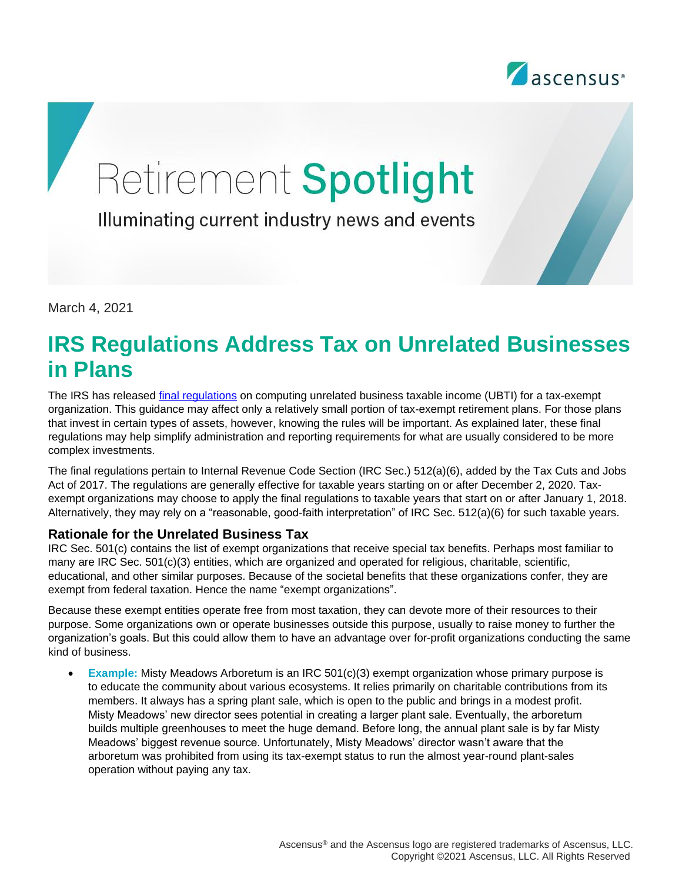

# Retirement Spotlight

Illuminating current industry news and events

March 4, 2021

# **IRS Regulations Address Tax on Unrelated Businesses in Plans**

The IRS has released [final regulations](https://www.federalregister.gov/documents/2020/12/02/2020-25954/unrelated-business-taxable-income-separately-computed-for-each-trade-or-business) on computing unrelated business taxable income (UBTI) for a tax-exempt organization. This guidance may affect only a relatively small portion of tax-exempt retirement plans. For those plans that invest in certain types of assets, however, knowing the rules will be important. As explained later, these final regulations may help simplify administration and reporting requirements for what are usually considered to be more complex investments.

The final regulations pertain to Internal Revenue Code Section (IRC Sec.) 512(a)(6), added by the Tax Cuts and Jobs Act of 2017. The regulations are generally effective for taxable years starting on or after December 2, 2020. Taxexempt organizations may choose to apply the final regulations to taxable years that start on or after January 1, 2018. Alternatively, they may rely on a "reasonable, good-faith interpretation" of IRC Sec. 512(a)(6) for such taxable years.

#### **Rationale for the Unrelated Business Tax**

IRC Sec. 501(c) contains the list of exempt organizations that receive special tax benefits. Perhaps most familiar to many are IRC Sec. 501(c)(3) entities, which are organized and operated for religious, charitable, scientific, educational, and other similar purposes. Because of the societal benefits that these organizations confer, they are exempt from federal taxation. Hence the name "exempt organizations".

Because these exempt entities operate free from most taxation, they can devote more of their resources to their purpose. Some organizations own or operate businesses outside this purpose, usually to raise money to further the organization's goals. But this could allow them to have an advantage over for-profit organizations conducting the same kind of business.

• **Example:** Misty Meadows Arboretum is an IRC 501(c)(3) exempt organization whose primary purpose is to educate the community about various ecosystems. It relies primarily on charitable contributions from its members. It always has a spring plant sale, which is open to the public and brings in a modest profit. Misty Meadows' new director sees potential in creating a larger plant sale. Eventually, the arboretum builds multiple greenhouses to meet the huge demand. Before long, the annual plant sale is by far Misty Meadows' biggest revenue source. Unfortunately, Misty Meadows' director wasn't aware that the arboretum was prohibited from using its tax-exempt status to run the almost year-round plant-sales operation without paying any tax.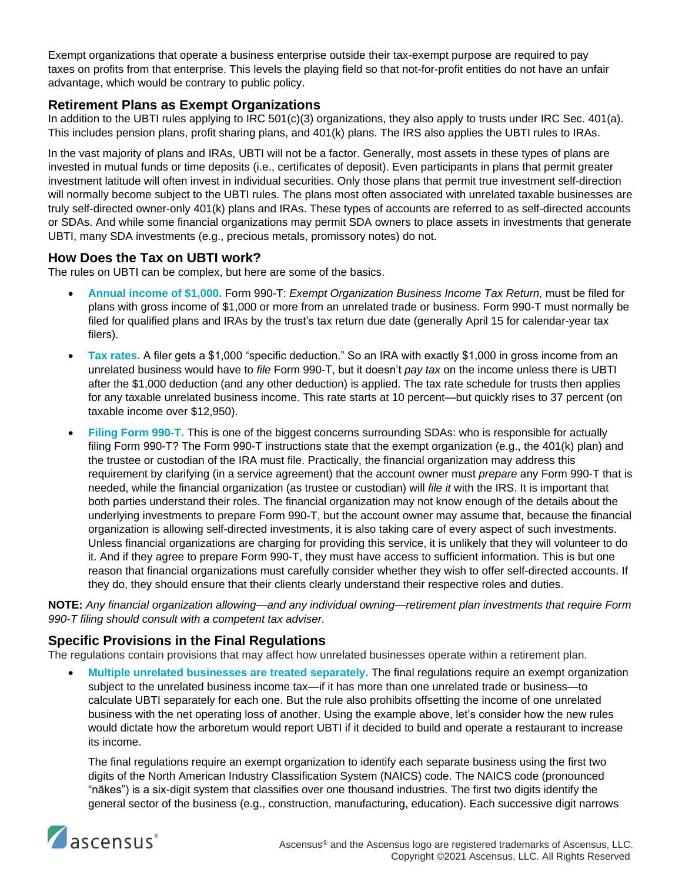Exempt organizations that operate a business enterprise outside their tax-exempt purpose are required to pay taxes on profits from that enterprise. This levels the playing field so that not-for-profit entities do not have an unfair advantage, which would be contrary to public policy.

# **Retirement Plans as Exempt Organizations**

In addition to the UBTI rules applying to IRC 501(c)(3) organizations, they also apply to trusts under IRC Sec. 401(a). This includes pension plans, profit sharing plans, and 401(k) plans. The IRS also applies the UBTI rules to IRAs.

In the vast majority of plans and IRAs, UBTI will not be a factor. Generally, most assets in these types of plans are invested in mutual funds or time deposits (i.e., certificates of deposit). Even participants in plans that permit greater investment latitude will often invest in individual securities. Only those plans that permit true investment self-direction will normally become subject to the UBTI rules. The plans most often associated with unrelated taxable businesses are truly self-directed owner-only 401(k) plans and IRAs. These types of accounts are referred to as self-directed accounts or SDAs. And while some financial organizations may permit SDA owners to place assets in investments that generate UBTI, many SDA investments (e.g., precious metals, promissory notes) do not.

#### **How Does the Tax on UBTI work?**

The rules on UBTI can be complex, but here are some of the basics.

- **Annual income of \$1,000.** Form 990-T: *Exempt Organization Business Income Tax Return,* must be filed for plans with gross income of \$1,000 or more from an unrelated trade or business. Form 990-T must normally be filed for qualified plans and IRAs by the trust's tax return due date (generally April 15 for calendar-year tax filers).
- **Tax rates.** A filer gets a \$1,000 "specific deduction." So an IRA with exactly \$1,000 in gross income from an unrelated business would have to *file* Form 990-T, but it doesn't *pay tax* on the income unless there is UBTI after the \$1,000 deduction (and any other deduction) is applied. The tax rate schedule for trusts then applies for any taxable unrelated business income. This rate starts at 10 percent—but quickly rises to 37 percent (on taxable income over \$12,950).
- **Filing Form 990-T.** This is one of the biggest concerns surrounding SDAs: who is responsible for actually filing Form 990-T? The Form 990-T instructions state that the exempt organization (e.g., the 401(k) plan) and the trustee or custodian of the IRA must file. Practically, the financial organization may address this requirement by clarifying (in a service agreement) that the account owner must *prepare* any Form 990-T that is needed, while the financial organization (as trustee or custodian) will *file it* with the IRS. It is important that both parties understand their roles. The financial organization may not know enough of the details about the underlying investments to prepare Form 990-T, but the account owner may assume that, because the financial organization is allowing self-directed investments, it is also taking care of every aspect of such investments. Unless financial organizations are charging for providing this service, it is unlikely that they will volunteer to do it. And if they agree to prepare Form 990-T, they must have access to sufficient information. This is but one reason that financial organizations must carefully consider whether they wish to offer self-directed accounts. If they do, they should ensure that their clients clearly understand their respective roles and duties.

**NOTE:** *Any financial organization allowing—and any individual owning—retirement plan investments that require Form 990-T filing should consult with a competent tax adviser.* 

# **Specific Provisions in the Final Regulations**

The regulations contain provisions that may affect how unrelated businesses operate within a retirement plan.

• **Multiple unrelated businesses are treated separately.** The final regulations require an exempt organization subject to the unrelated business income tax—if it has more than one unrelated trade or business—to calculate UBTI separately for each one. But the rule also prohibits offsetting the income of one unrelated business with the net operating loss of another. Using the example above, let's consider how the new rules would dictate how the arboretum would report UBTI if it decided to build and operate a restaurant to increase its income.

The final regulations require an exempt organization to identify each separate business using the first two digits of the North American Industry Classification System (NAICS) code. The NAICS code (pronounced "nākes") is a six-digit system that classifies over one thousand industries. The first two digits identify the general sector of the business (e.g., construction, manufacturing, education). Each successive digit narrows

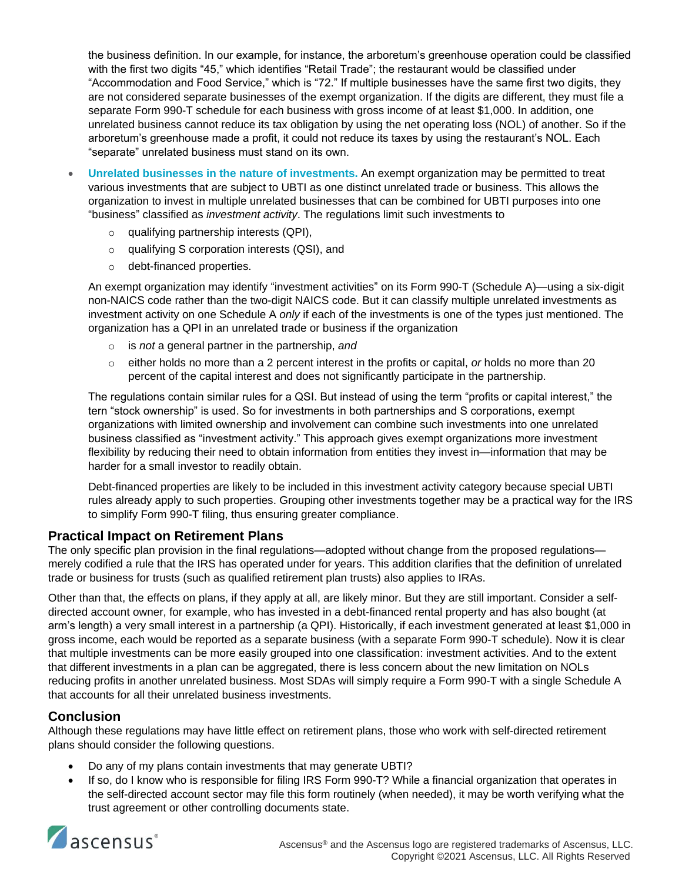the business definition. In our example, for instance, the arboretum's greenhouse operation could be classified with the first two digits "45," which identifies "Retail Trade"; the restaurant would be classified under "Accommodation and Food Service," which is "72." If multiple businesses have the same first two digits, they are not considered separate businesses of the exempt organization. If the digits are different, they must file a separate Form 990-T schedule for each business with gross income of at least \$1,000. In addition, one unrelated business cannot reduce its tax obligation by using the net operating loss (NOL) of another. So if the arboretum's greenhouse made a profit, it could not reduce its taxes by using the restaurant's NOL. Each "separate" unrelated business must stand on its own.

- **Unrelated businesses in the nature of investments.** An exempt organization may be permitted to treat various investments that are subject to UBTI as one distinct unrelated trade or business. This allows the organization to invest in multiple unrelated businesses that can be combined for UBTI purposes into one "business" classified as *investment activity*. The regulations limit such investments to
	- qualifying partnership interests (QPI),
	- o qualifying S corporation interests (QSI), and
	- o debt-financed properties.

An exempt organization may identify "investment activities" on its Form 990-T (Schedule A)—using a six-digit non-NAICS code rather than the two-digit NAICS code. But it can classify multiple unrelated investments as investment activity on one Schedule A *only* if each of the investments is one of the types just mentioned. The organization has a QPI in an unrelated trade or business if the organization

- o is *not* a general partner in the partnership, *and*
- o either holds no more than a 2 percent interest in the profits or capital, *or* holds no more than 20 percent of the capital interest and does not significantly participate in the partnership.

The regulations contain similar rules for a QSI. But instead of using the term "profits or capital interest," the tern "stock ownership" is used. So for investments in both partnerships and S corporations, exempt organizations with limited ownership and involvement can combine such investments into one unrelated business classified as "investment activity." This approach gives exempt organizations more investment flexibility by reducing their need to obtain information from entities they invest in—information that may be harder for a small investor to readily obtain.

Debt-financed properties are likely to be included in this investment activity category because special UBTI rules already apply to such properties. Grouping other investments together may be a practical way for the IRS to simplify Form 990-T filing, thus ensuring greater compliance.

# **Practical Impact on Retirement Plans**

The only specific plan provision in the final regulations—adopted without change from the proposed regulations merely codified a rule that the IRS has operated under for years. This addition clarifies that the definition of unrelated trade or business for trusts (such as qualified retirement plan trusts) also applies to IRAs.

Other than that, the effects on plans, if they apply at all, are likely minor. But they are still important. Consider a selfdirected account owner, for example, who has invested in a debt-financed rental property and has also bought (at arm's length) a very small interest in a partnership (a QPI). Historically, if each investment generated at least \$1,000 in gross income, each would be reported as a separate business (with a separate Form 990-T schedule). Now it is clear that multiple investments can be more easily grouped into one classification: investment activities. And to the extent that different investments in a plan can be aggregated, there is less concern about the new limitation on NOLs reducing profits in another unrelated business. Most SDAs will simply require a Form 990-T with a single Schedule A that accounts for all their unrelated business investments.

# **Conclusion**

Although these regulations may have little effect on retirement plans, those who work with self-directed retirement plans should consider the following questions.

- Do any of my plans contain investments that may generate UBTI?
- If so, do I know who is responsible for filing IRS Form 990-T? While a financial organization that operates in the self-directed account sector may file this form routinely (when needed), it may be worth verifying what the trust agreement or other controlling documents state.